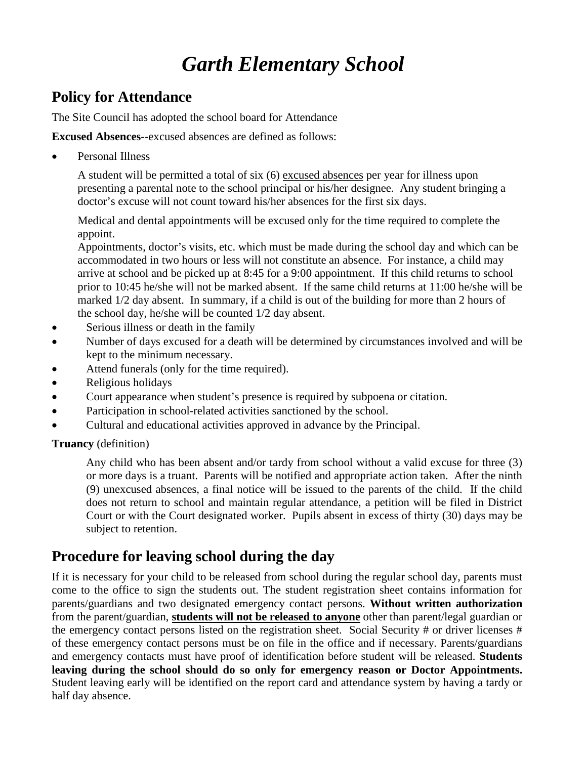## **Policy for Attendance**

The Site Council has adopted the school board for Attendance

**Excused Absences**--excused absences are defined as follows:

Personal Illness

A student will be permitted a total of six (6) excused absences per year for illness upon presenting a parental note to the school principal or his/her designee. Any student bringing a doctor's excuse will not count toward his/her absences for the first six days.

Medical and dental appointments will be excused only for the time required to complete the appoint.

Appointments, doctor's visits, etc. which must be made during the school day and which can be accommodated in two hours or less will not constitute an absence. For instance, a child may arrive at school and be picked up at 8:45 for a 9:00 appointment. If this child returns to school prior to 10:45 he/she will not be marked absent. If the same child returns at 11:00 he/she will be marked 1/2 day absent. In summary, if a child is out of the building for more than 2 hours of the school day, he/she will be counted 1/2 day absent.

- Serious illness or death in the family
- Number of days excused for a death will be determined by circumstances involved and will be kept to the minimum necessary.
- Attend funerals (only for the time required).
- Religious holidays
- Court appearance when student's presence is required by subpoena or citation.
- Participation in school-related activities sanctioned by the school.
- Cultural and educational activities approved in advance by the Principal.

#### **Truancy** (definition)

Any child who has been absent and/or tardy from school without a valid excuse for three (3) or more days is a truant. Parents will be notified and appropriate action taken. After the ninth (9) unexcused absences, a final notice will be issued to the parents of the child. If the child does not return to school and maintain regular attendance, a petition will be filed in District Court or with the Court designated worker. Pupils absent in excess of thirty (30) days may be subject to retention.

## **Procedure for leaving school during the day**

If it is necessary for your child to be released from school during the regular school day, parents must come to the office to sign the students out. The student registration sheet contains information for parents/guardians and two designated emergency contact persons. **Without written authorization** from the parent/guardian, **students will not be released to anyone** other than parent/legal guardian or the emergency contact persons listed on the registration sheet. Social Security # or driver licenses # of these emergency contact persons must be on file in the office and if necessary. Parents/guardians and emergency contacts must have proof of identification before student will be released. **Students leaving during the school should do so only for emergency reason or Doctor Appointments.** Student leaving early will be identified on the report card and attendance system by having a tardy or half day absence.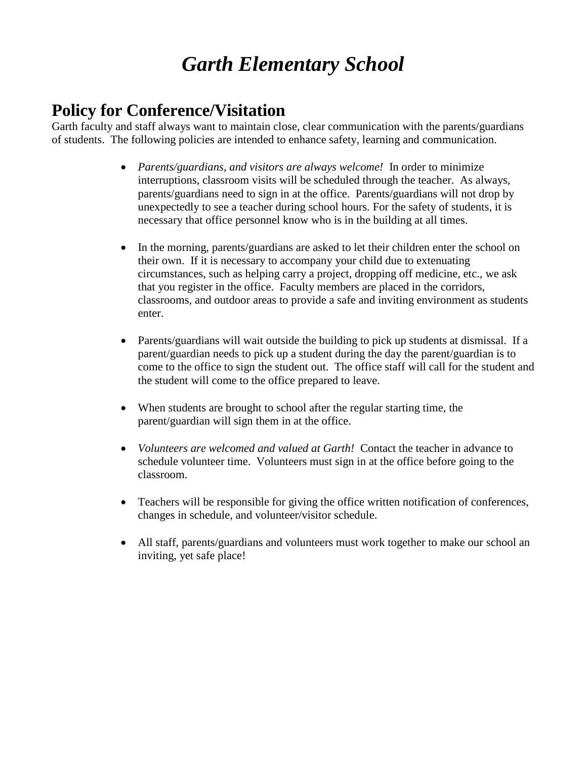## **Policy for Conference/Visitation**

Garth faculty and staff always want to maintain close, clear communication with the parents/guardians of students. The following policies are intended to enhance safety, learning and communication.

- *Parents/guardians, and visitors are always welcome!* In order to minimize interruptions, classroom visits will be scheduled through the teacher. As always, parents/guardians need to sign in at the office. Parents/guardians will not drop by unexpectedly to see a teacher during school hours. For the safety of students, it is necessary that office personnel know who is in the building at all times.
- In the morning, parents/guardians are asked to let their children enter the school on their own. If it is necessary to accompany your child due to extenuating circumstances, such as helping carry a project, dropping off medicine, etc., we ask that you register in the office. Faculty members are placed in the corridors, classrooms, and outdoor areas to provide a safe and inviting environment as students enter.
- Parents/guardians will wait outside the building to pick up students at dismissal. If a parent/guardian needs to pick up a student during the day the parent/guardian is to come to the office to sign the student out. The office staff will call for the student and the student will come to the office prepared to leave.
- When students are brought to school after the regular starting time, the parent/guardian will sign them in at the office.
- *Volunteers are welcomed and valued at Garth!* Contact the teacher in advance to schedule volunteer time. Volunteers must sign in at the office before going to the classroom.
- Teachers will be responsible for giving the office written notification of conferences, changes in schedule, and volunteer/visitor schedule.
- All staff, parents/guardians and volunteers must work together to make our school an inviting, yet safe place!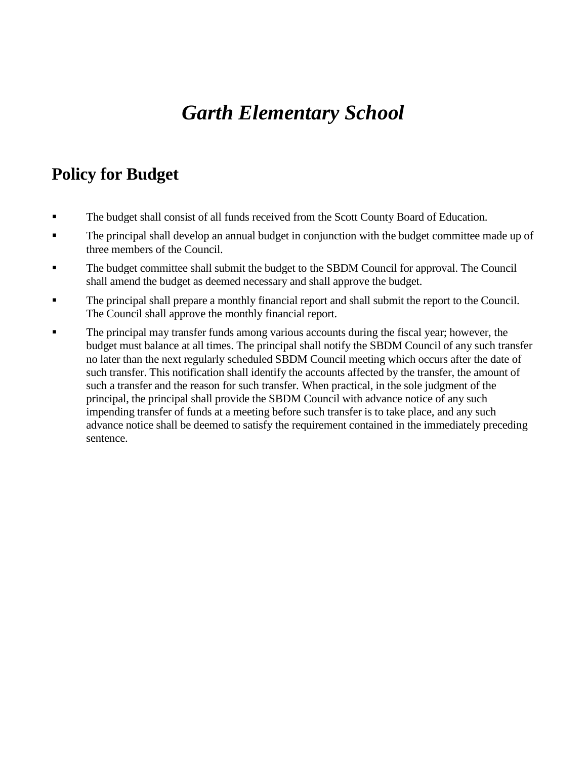## **Policy for Budget**

- The budget shall consist of all funds received from the Scott County Board of Education.
- The principal shall develop an annual budget in conjunction with the budget committee made up of three members of the Council.
- The budget committee shall submit the budget to the SBDM Council for approval. The Council shall amend the budget as deemed necessary and shall approve the budget.
- The principal shall prepare a monthly financial report and shall submit the report to the Council. The Council shall approve the monthly financial report.
- The principal may transfer funds among various accounts during the fiscal year; however, the budget must balance at all times. The principal shall notify the SBDM Council of any such transfer no later than the next regularly scheduled SBDM Council meeting which occurs after the date of such transfer. This notification shall identify the accounts affected by the transfer, the amount of such a transfer and the reason for such transfer. When practical, in the sole judgment of the principal, the principal shall provide the SBDM Council with advance notice of any such impending transfer of funds at a meeting before such transfer is to take place, and any such advance notice shall be deemed to satisfy the requirement contained in the immediately preceding sentence.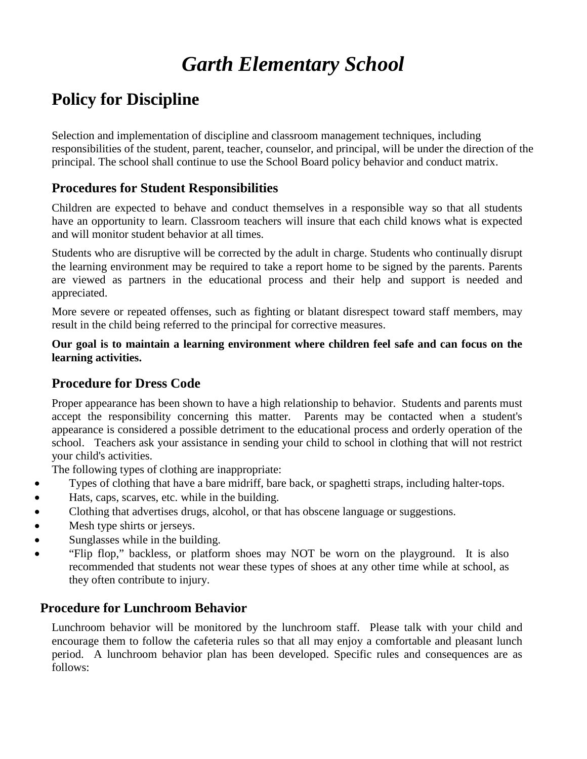## **Policy for Discipline**

Selection and implementation of discipline and classroom management techniques, including responsibilities of the student, parent, teacher, counselor, and principal, will be under the direction of the principal. The school shall continue to use the School Board policy behavior and conduct matrix.

### **Procedures for Student Responsibilities**

Children are expected to behave and conduct themselves in a responsible way so that all students have an opportunity to learn. Classroom teachers will insure that each child knows what is expected and will monitor student behavior at all times.

Students who are disruptive will be corrected by the adult in charge. Students who continually disrupt the learning environment may be required to take a report home to be signed by the parents. Parents are viewed as partners in the educational process and their help and support is needed and appreciated.

More severe or repeated offenses, such as fighting or blatant disrespect toward staff members, may result in the child being referred to the principal for corrective measures.

**Our goal is to maintain a learning environment where children feel safe and can focus on the learning activities.**

### **Procedure for Dress Code**

Proper appearance has been shown to have a high relationship to behavior. Students and parents must accept the responsibility concerning this matter. Parents may be contacted when a student's appearance is considered a possible detriment to the educational process and orderly operation of the school. Teachers ask your assistance in sending your child to school in clothing that will not restrict your child's activities.

The following types of clothing are inappropriate:

- Types of clothing that have a bare midriff, bare back, or spaghetti straps, including halter-tops.
- Hats, caps, scarves, etc. while in the building.
- Clothing that advertises drugs, alcohol, or that has obscene language or suggestions.
- Mesh type shirts or jerseys.
- Sunglasses while in the building.
- "Flip flop," backless, or platform shoes may NOT be worn on the playground. It is also recommended that students not wear these types of shoes at any other time while at school, as they often contribute to injury.

### **Procedure for Lunchroom Behavior**

Lunchroom behavior will be monitored by the lunchroom staff. Please talk with your child and encourage them to follow the cafeteria rules so that all may enjoy a comfortable and pleasant lunch period. A lunchroom behavior plan has been developed. Specific rules and consequences are as follows: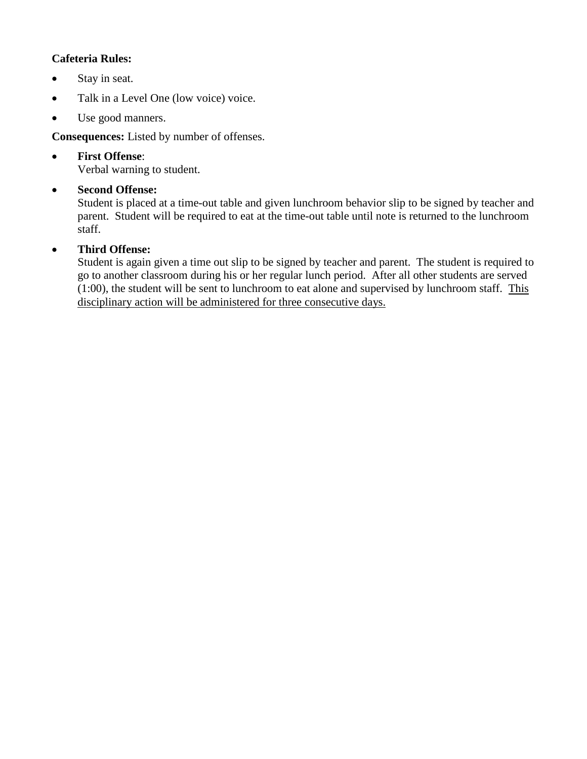### **Cafeteria Rules:**

- Stay in seat.
- Talk in a Level One (low voice) voice.
- Use good manners.

**Consequences:** Listed by number of offenses.

• **First Offense**: Verbal warning to student.

### • **Second Offense:**

Student is placed at a time-out table and given lunchroom behavior slip to be signed by teacher and parent. Student will be required to eat at the time-out table until note is returned to the lunchroom staff.

### • **Third Offense:**

Student is again given a time out slip to be signed by teacher and parent. The student is required to go to another classroom during his or her regular lunch period. After all other students are served (1:00), the student will be sent to lunchroom to eat alone and supervised by lunchroom staff. This disciplinary action will be administered for three consecutive days.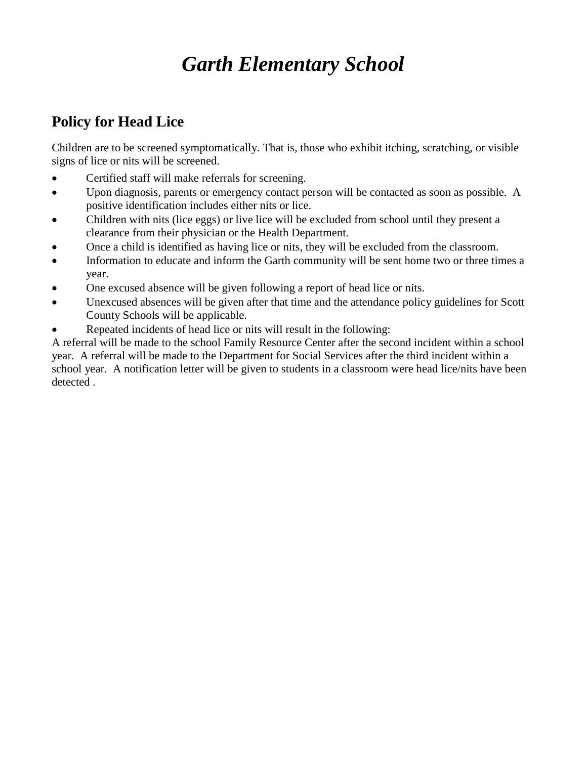## **Policy for Head Lice**

Children are to be screened symptomatically. That is, those who exhibit itching, scratching, or visible signs of lice or nits will be screened.

- Certified staff will make referrals for screening.
- Upon diagnosis, parents or emergency contact person will be contacted as soon as possible. A positive identification includes either nits or lice.
- Children with nits (lice eggs) or live lice will be excluded from school until they present a clearance from their physician or the Health Department.
- Once a child is identified as having lice or nits, they will be excluded from the classroom.
- Information to educate and inform the Garth community will be sent home two or three times a year.
- One excused absence will be given following a report of head lice or nits.
- Unexcused absences will be given after that time and the attendance policy guidelines for Scott County Schools will be applicable.
- Repeated incidents of head lice or nits will result in the following:

A referral will be made to the school Family Resource Center after the second incident within a school year. A referral will be made to the Department for Social Services after the third incident within a school year. A notification letter will be given to students in a classroom were head lice/nits have been detected .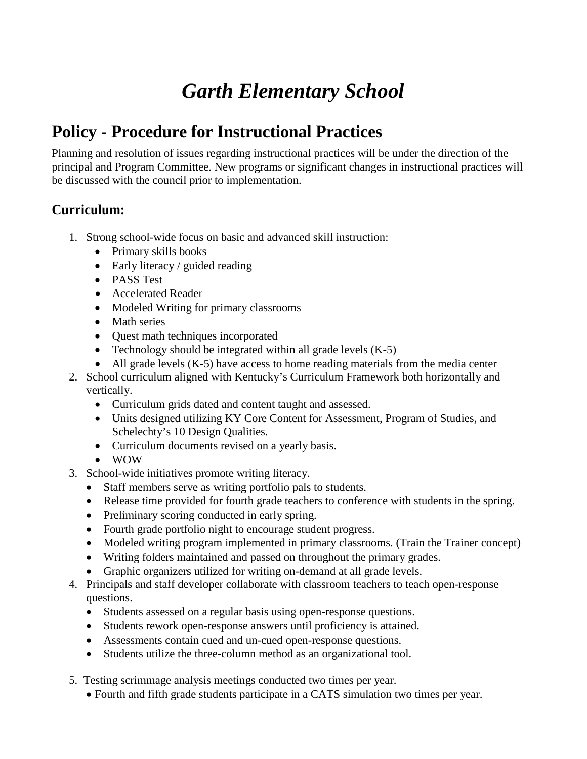## **Policy - Procedure for Instructional Practices**

Planning and resolution of issues regarding instructional practices will be under the direction of the principal and Program Committee. New programs or significant changes in instructional practices will be discussed with the council prior to implementation.

### **Curriculum:**

- 1. Strong school-wide focus on basic and advanced skill instruction:
	- Primary skills books
	- Early literacy / guided reading
	- PASS Test
	- Accelerated Reader
	- Modeled Writing for primary classrooms
	- Math series
	- Quest math techniques incorporated
	- Technology should be integrated within all grade levels  $(K-5)$
	- All grade levels (K-5) have access to home reading materials from the media center
- 2. School curriculum aligned with Kentucky's Curriculum Framework both horizontally and vertically.
	- Curriculum grids dated and content taught and assessed.
	- Units designed utilizing KY Core Content for Assessment, Program of Studies, and Schelechty's 10 Design Qualities.
	- Curriculum documents revised on a yearly basis.
	- WOW
- 3. School-wide initiatives promote writing literacy.
	- Staff members serve as writing portfolio pals to students.
	- Release time provided for fourth grade teachers to conference with students in the spring.
	- Preliminary scoring conducted in early spring.
	- Fourth grade portfolio night to encourage student progress.
	- Modeled writing program implemented in primary classrooms. (Train the Trainer concept)
	- Writing folders maintained and passed on throughout the primary grades.
	- Graphic organizers utilized for writing on-demand at all grade levels.
- 4. Principals and staff developer collaborate with classroom teachers to teach open-response questions.
	- Students assessed on a regular basis using open-response questions.
	- Students rework open-response answers until proficiency is attained.
	- Assessments contain cued and un-cued open-response questions.
	- Students utilize the three-column method as an organizational tool.
- 5. Testing scrimmage analysis meetings conducted two times per year.
	- Fourth and fifth grade students participate in a CATS simulation two times per year.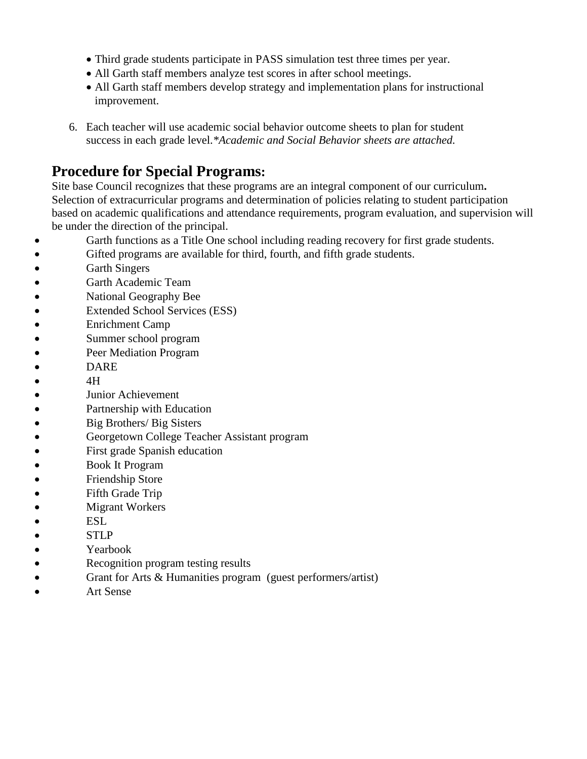- Third grade students participate in PASS simulation test three times per year.
- All Garth staff members analyze test scores in after school meetings.
- All Garth staff members develop strategy and implementation plans for instructional improvement.
- 6. Each teacher will use academic social behavior outcome sheets to plan for student success in each grade level.*\*Academic and Social Behavior sheets are attached.*

### **Procedure for Special Programs:**

Site base Council recognizes that these programs are an integral component of our curriculum**.** Selection of extracurricular programs and determination of policies relating to student participation based on academic qualifications and attendance requirements, program evaluation, and supervision will be under the direction of the principal.

- Garth functions as a Title One school including reading recovery for first grade students.
- Gifted programs are available for third, fourth, and fifth grade students.
- Garth Singers
- Garth Academic Team
- National Geography Bee
- Extended School Services (ESS)
- Enrichment Camp
- Summer school program
- Peer Mediation Program
- DARE
- $\bullet$  4H
- Junior Achievement
- Partnership with Education
- Big Brothers/ Big Sisters
- Georgetown College Teacher Assistant program
- First grade Spanish education
- Book It Program
- Friendship Store
- Fifth Grade Trip
- **Migrant Workers**
- ESL
- STLP
- **•** Yearbook
- Recognition program testing results
- Grant for Arts & Humanities program (guest performers/artist)
- Art Sense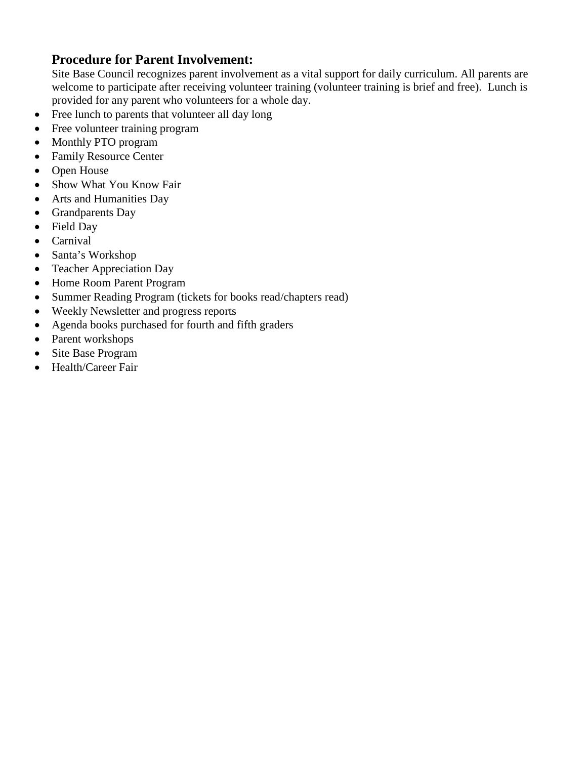### **Procedure for Parent Involvement:**

Site Base Council recognizes parent involvement as a vital support for daily curriculum. All parents are welcome to participate after receiving volunteer training (volunteer training is brief and free). Lunch is provided for any parent who volunteers for a whole day.

- Free lunch to parents that volunteer all day long
- Free volunteer training program
- Monthly PTO program
- Family Resource Center
- Open House
- Show What You Know Fair
- Arts and Humanities Day
- Grandparents Day
- Field Day
- Carnival
- Santa's Workshop
- Teacher Appreciation Day
- Home Room Parent Program
- Summer Reading Program (tickets for books read/chapters read)
- Weekly Newsletter and progress reports
- Agenda books purchased for fourth and fifth graders
- Parent workshops
- Site Base Program
- Health/Career Fair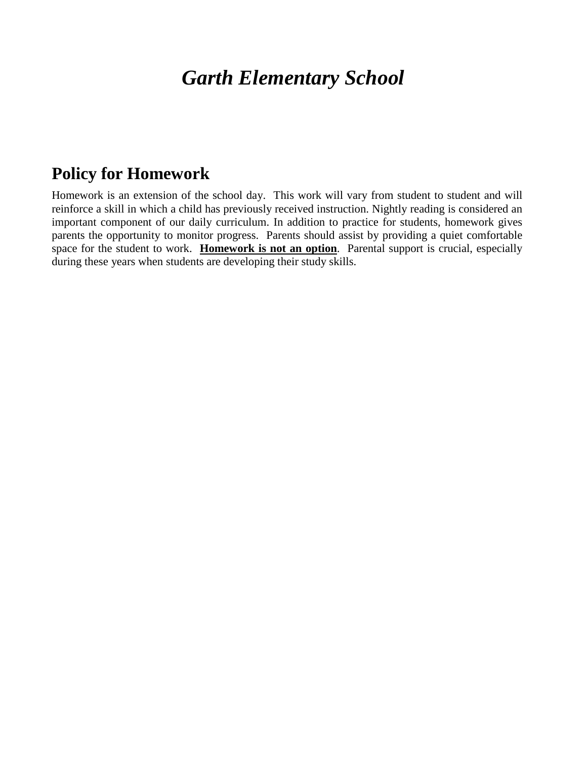## **Policy for Homework**

Homework is an extension of the school day. This work will vary from student to student and will reinforce a skill in which a child has previously received instruction. Nightly reading is considered an important component of our daily curriculum. In addition to practice for students, homework gives parents the opportunity to monitor progress. Parents should assist by providing a quiet comfortable space for the student to work. **Homework is not an option**. Parental support is crucial, especially during these years when students are developing their study skills.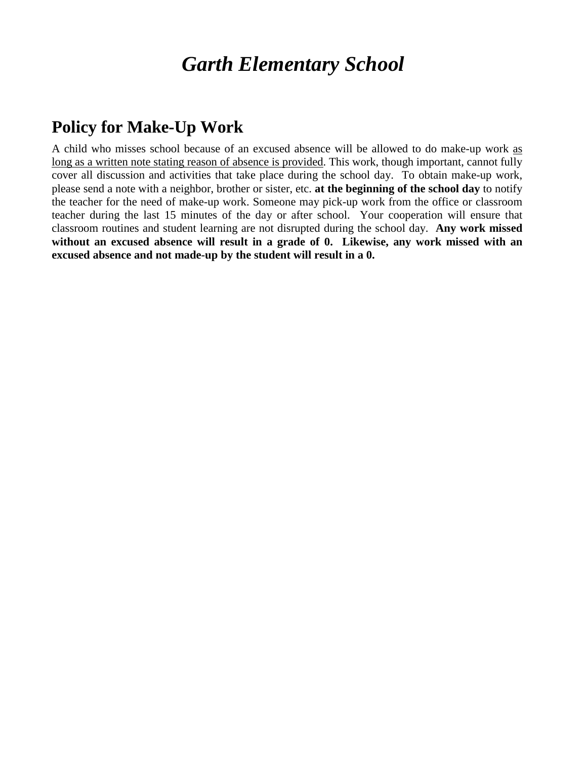## **Policy for Make-Up Work**

A child who misses school because of an excused absence will be allowed to do make-up work as long as a written note stating reason of absence is provided. This work, though important, cannot fully cover all discussion and activities that take place during the school day. To obtain make-up work, please send a note with a neighbor, brother or sister, etc. **at the beginning of the school day** to notify the teacher for the need of make-up work. Someone may pick-up work from the office or classroom teacher during the last 15 minutes of the day or after school. Your cooperation will ensure that classroom routines and student learning are not disrupted during the school day. **Any work missed without an excused absence will result in a grade of 0. Likewise, any work missed with an excused absence and not made-up by the student will result in a 0.**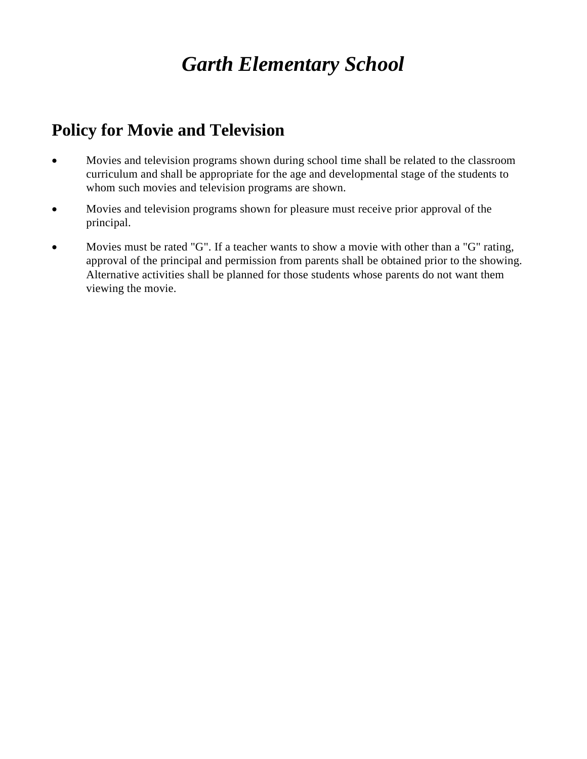## **Policy for Movie and Television**

- Movies and television programs shown during school time shall be related to the classroom curriculum and shall be appropriate for the age and developmental stage of the students to whom such movies and television programs are shown.
- Movies and television programs shown for pleasure must receive prior approval of the principal.
- Movies must be rated "G". If a teacher wants to show a movie with other than a "G" rating, approval of the principal and permission from parents shall be obtained prior to the showing. Alternative activities shall be planned for those students whose parents do not want them viewing the movie.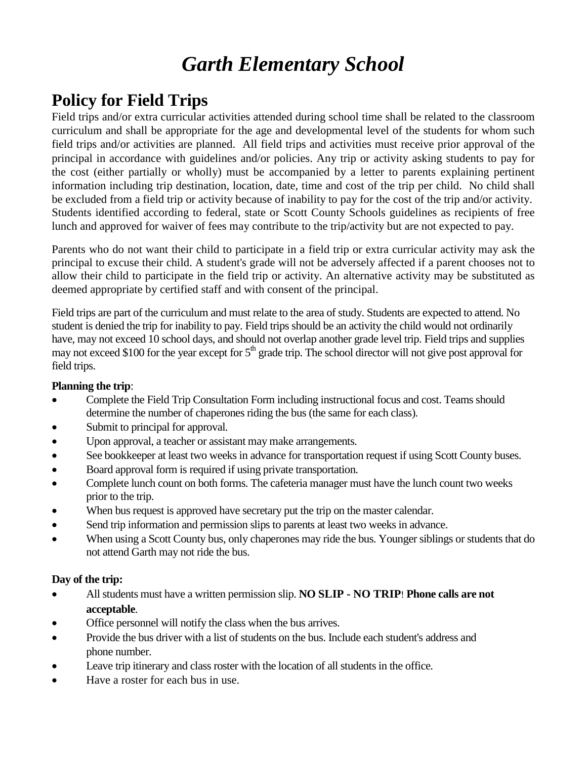## **Policy for Field Trips**

Field trips and/or extra curricular activities attended during school time shall be related to the classroom curriculum and shall be appropriate for the age and developmental level of the students for whom such field trips and/or activities are planned. All field trips and activities must receive prior approval of the principal in accordance with guidelines and/or policies. Any trip or activity asking students to pay for the cost (either partially or wholly) must be accompanied by a letter to parents explaining pertinent information including trip destination, location, date, time and cost of the trip per child. No child shall be excluded from a field trip or activity because of inability to pay for the cost of the trip and/or activity. Students identified according to federal, state or Scott County Schools guidelines as recipients of free lunch and approved for waiver of fees may contribute to the trip/activity but are not expected to pay.

Parents who do not want their child to participate in a field trip or extra curricular activity may ask the principal to excuse their child. A student's grade will not be adversely affected if a parent chooses not to allow their child to participate in the field trip or activity. An alternative activity may be substituted as deemed appropriate by certified staff and with consent of the principal.

Field trips are part of the curriculum and must relate to the area of study. Students are expected to attend. No student is denied the trip for inability to pay. Field trips should be an activity the child would not ordinarily have, may not exceed 10 school days, and should not overlap another grade level trip. Field trips and supplies may not exceed \$100 for the year except for  $5<sup>th</sup>$  grade trip. The school director will not give post approval for field trips.

### **Planning the trip**:

- Complete the Field Trip Consultation Form including instructional focus and cost. Teams should determine the number of chaperones riding the bus (the same for each class).
- Submit to principal for approval.
- Upon approval, a teacher or assistant may make arrangements.
- See bookkeeper at least two weeks in advance for transportation request if using Scott County buses.
- Board approval form is required if using private transportation.
- Complete lunch count on both forms. The cafeteria manager must have the lunch count two weeks prior to the trip.
- When bus request is approved have secretary put the trip on the master calendar.
- Send trip information and permission slips to parents at least two weeks in advance.
- When using a Scott County bus, only chaperones may ride the bus. Younger siblings or students that do not attend Garth may not ride the bus.

### **Day of the trip:**

- All students must have a written permission slip. **NO SLIP - NO TRIP**! **Phone calls are not acceptable**.
- Office personnel will notify the class when the bus arrives.
- Provide the bus driver with a list of students on the bus. Include each student's address and phone number.
- Leave trip itinerary and class roster with the location of all students in the office.
- Have a roster for each bus in use.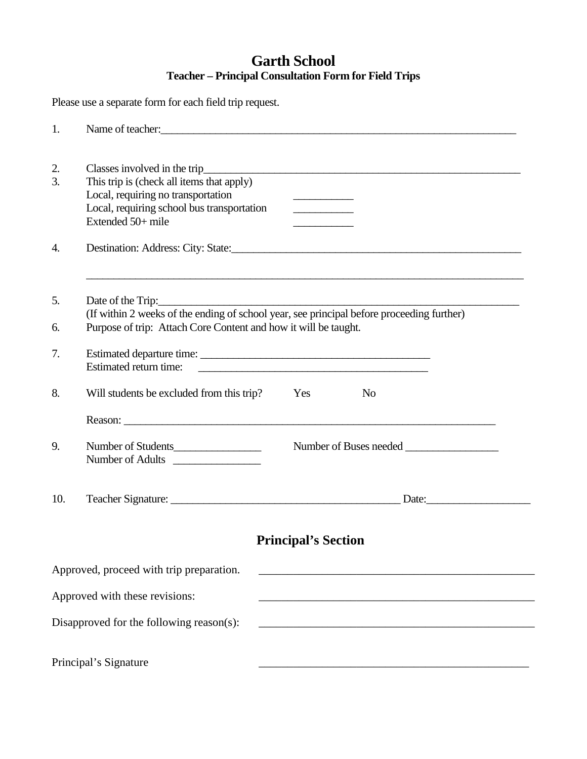## **Garth School Teacher – Principal Consultation Form for Field Trips**

Please use a separate form for each field trip request.

| 1.       | Name of teacher:                                                                                                                                                                                                                                                                                                                                                                             |
|----------|----------------------------------------------------------------------------------------------------------------------------------------------------------------------------------------------------------------------------------------------------------------------------------------------------------------------------------------------------------------------------------------------|
| 2.<br>3. | Classes involved in the trip_<br><u> 1989 - Johann Harry Barn, mars ar breithinn ar breithinn ar breithinn ar breithinn ar breithinn ar breithinn </u><br>This trip is (check all items that apply)<br>Local, requiring no transportation<br>the control of the control of the<br>Local, requiring school bus transportation<br>Extended 50+ mile<br><u> 1980 - Johann Barbara, martin a</u> |
| 4.       |                                                                                                                                                                                                                                                                                                                                                                                              |
| 5.<br>6. | Date of the Trip:<br>(If within 2 weeks of the ending of school year, see principal before proceeding further)<br>Purpose of trip: Attach Core Content and how it will be taught.                                                                                                                                                                                                            |
| 7.       | Estimated return time:<br><u> 1989 - Johann Harry Harry Harry Harry Harry Harry Harry Harry Harry Harry Harry Harry Harry Harry Harry Harry</u>                                                                                                                                                                                                                                              |
| 8.       | Will students be excluded from this trip?<br>Yes<br>N <sub>o</sub><br>Reason: experience and the contract of the contract of the contract of the contract of the contract of the contract of the contract of the contract of the contract of the contract of the contract of the contract of the con                                                                                         |
| 9.       | Number of Students<br>Number of Adults                                                                                                                                                                                                                                                                                                                                                       |
| 10.      | Date: 2008                                                                                                                                                                                                                                                                                                                                                                                   |
|          | <b>Principal's Section</b>                                                                                                                                                                                                                                                                                                                                                                   |
|          | Approved, proceed with trip preparation.                                                                                                                                                                                                                                                                                                                                                     |
|          | Approved with these revisions:                                                                                                                                                                                                                                                                                                                                                               |
|          | Disapproved for the following reason(s):<br><u> 2008 - Jan James James James James James James James James James James James James James James James James J</u>                                                                                                                                                                                                                             |
|          | Principal's Signature                                                                                                                                                                                                                                                                                                                                                                        |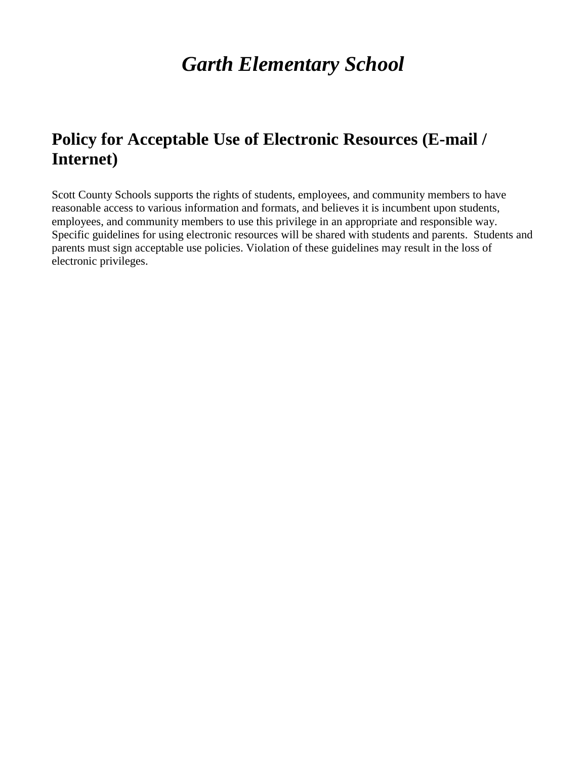## **Policy for Acceptable Use of Electronic Resources (E-mail / Internet)**

Scott County Schools supports the rights of students, employees, and community members to have reasonable access to various information and formats, and believes it is incumbent upon students, employees, and community members to use this privilege in an appropriate and responsible way. Specific guidelines for using electronic resources will be shared with students and parents. Students and parents must sign acceptable use policies. Violation of these guidelines may result in the loss of electronic privileges.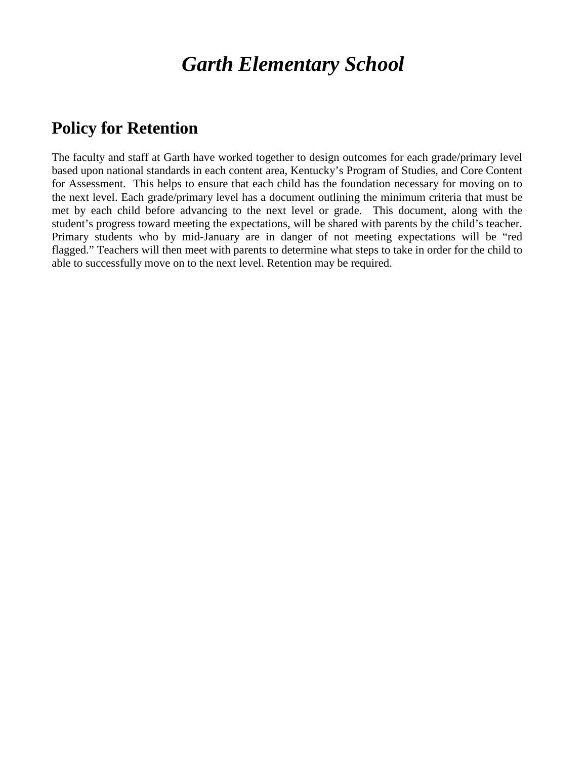## **Policy for Retention**

The faculty and staff at Garth have worked together to design outcomes for each grade/primary level based upon national standards in each content area, Kentucky's Program of Studies, and Core Content for Assessment. This helps to ensure that each child has the foundation necessary for moving on to the next level. Each grade/primary level has a document outlining the minimum criteria that must be met by each child before advancing to the next level or grade. This document, along with the student's progress toward meeting the expectations, will be shared with parents by the child's teacher. Primary students who by mid-January are in danger of not meeting expectations will be "red flagged." Teachers will then meet with parents to determine what steps to take in order for the child to able to successfully move on to the next level. Retention may be required.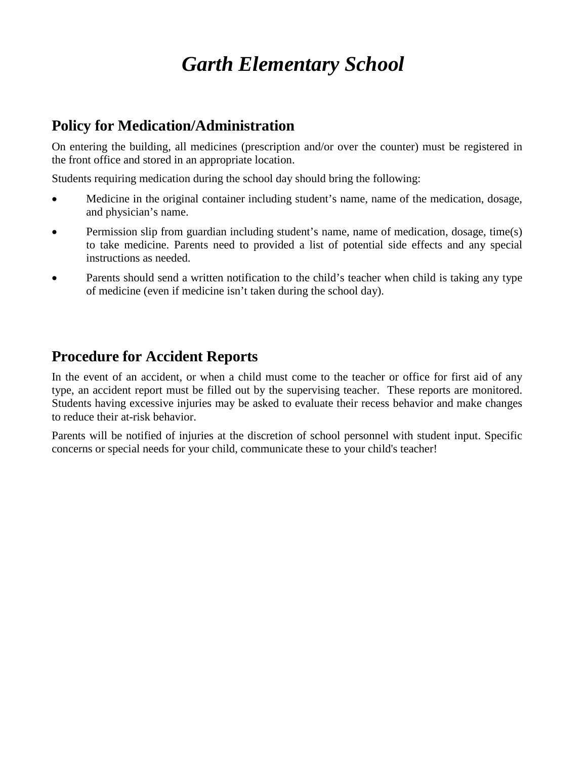## **Policy for Medication/Administration**

On entering the building, all medicines (prescription and/or over the counter) must be registered in the front office and stored in an appropriate location.

Students requiring medication during the school day should bring the following:

- Medicine in the original container including student's name, name of the medication, dosage, and physician's name.
- Permission slip from guardian including student's name, name of medication, dosage, time(s) to take medicine. Parents need to provided a list of potential side effects and any special instructions as needed.
- Parents should send a written notification to the child's teacher when child is taking any type of medicine (even if medicine isn't taken during the school day).

## **Procedure for Accident Reports**

In the event of an accident, or when a child must come to the teacher or office for first aid of any type, an accident report must be filled out by the supervising teacher. These reports are monitored. Students having excessive injuries may be asked to evaluate their recess behavior and make changes to reduce their at-risk behavior.

Parents will be notified of injuries at the discretion of school personnel with student input. Specific concerns or special needs for your child, communicate these to your child's teacher!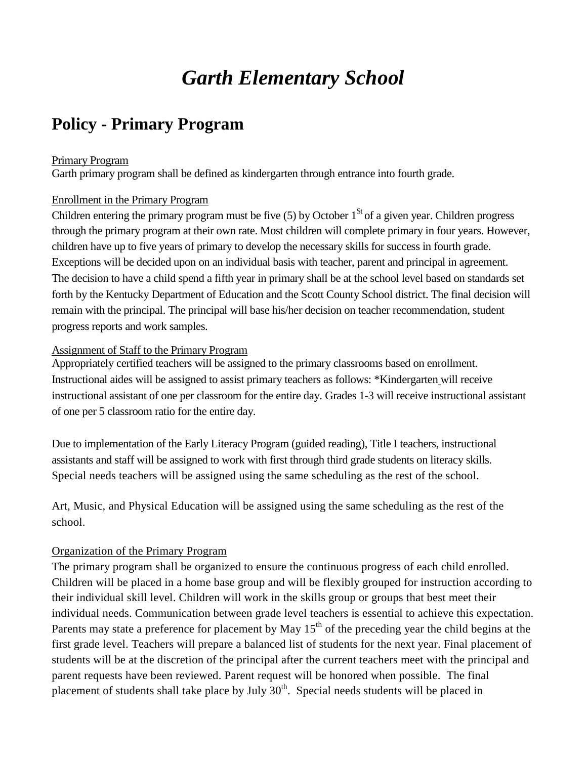## **Policy - Primary Program**

#### Primary Program

Garth primary program shall be defined as kindergarten through entrance into fourth grade.

#### Enrollment in the Primary Program

Children entering the primary program must be five  $(5)$  by October  $1<sup>St</sup>$  of a given year. Children progress through the primary program at their own rate. Most children will complete primary in four years. However, children have up to five years of primary to develop the necessary skills for success in fourth grade. Exceptions will be decided upon on an individual basis with teacher, parent and principal in agreement. The decision to have a child spend a fifth year in primary shall be at the school level based on standards set forth by the Kentucky Department of Education and the Scott County School district. The final decision will remain with the principal. The principal will base his/her decision on teacher recommendation, student progress reports and work samples.

#### Assignment of Staff to the Primary Program

Appropriately certified teachers will be assigned to the primary classrooms based on enrollment. Instructional aides will be assigned to assist primary teachers as follows: \*Kindergarten will receive instructional assistant of one per classroom for the entire day. Grades 1-3 will receive instructional assistant of one per 5 classroom ratio for the entire day.

Due to implementation of the Early Literacy Program (guided reading), Title I teachers, instructional assistants and staff will be assigned to work with first through third grade students on literacy skills. Special needs teachers will be assigned using the same scheduling as the rest of the school.

Art, Music, and Physical Education will be assigned using the same scheduling as the rest of the school.

### Organization of the Primary Program

The primary program shall be organized to ensure the continuous progress of each child enrolled. Children will be placed in a home base group and will be flexibly grouped for instruction according to their individual skill level. Children will work in the skills group or groups that best meet their individual needs. Communication between grade level teachers is essential to achieve this expectation. Parents may state a preference for placement by May  $15<sup>th</sup>$  of the preceding year the child begins at the first grade level. Teachers will prepare a balanced list of students for the next year. Final placement of students will be at the discretion of the principal after the current teachers meet with the principal and parent requests have been reviewed. Parent request will be honored when possible. The final placement of students shall take place by July  $30<sup>th</sup>$ . Special needs students will be placed in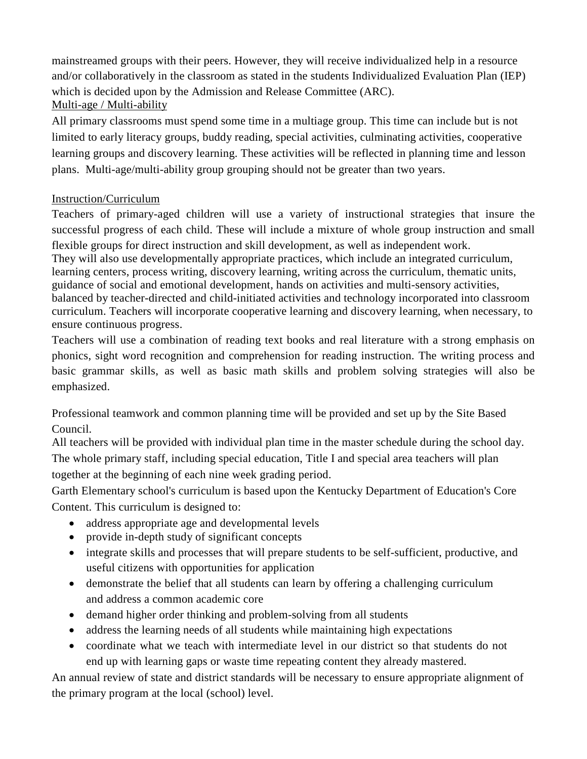mainstreamed groups with their peers. However, they will receive individualized help in a resource and/or collaboratively in the classroom as stated in the students Individualized Evaluation Plan (IEP) which is decided upon by the Admission and Release Committee (ARC). Multi-age / Multi-ability

All primary classrooms must spend some time in a multiage group. This time can include but is not limited to early literacy groups, buddy reading, special activities, culminating activities, cooperative learning groups and discovery learning. These activities will be reflected in planning time and lesson plans. Multi-age/multi-ability group grouping should not be greater than two years.

### Instruction/Curriculum

Teachers of primary-aged children will use a variety of instructional strategies that insure the successful progress of each child. These will include a mixture of whole group instruction and small flexible groups for direct instruction and skill development, as well as independent work. They will also use developmentally appropriate practices, which include an integrated curriculum, learning centers, process writing, discovery learning, writing across the curriculum, thematic units, guidance of social and emotional development, hands on activities and multi-sensory activities, balanced by teacher-directed and child-initiated activities and technology incorporated into classroom curriculum. Teachers will incorporate cooperative learning and discovery learning, when necessary, to ensure continuous progress.

Teachers will use a combination of reading text books and real literature with a strong emphasis on phonics, sight word recognition and comprehension for reading instruction. The writing process and basic grammar skills, as well as basic math skills and problem solving strategies will also be emphasized.

Professional teamwork and common planning time will be provided and set up by the Site Based Council.

All teachers will be provided with individual plan time in the master schedule during the school day. The whole primary staff, including special education, Title I and special area teachers will plan together at the beginning of each nine week grading period.

Garth Elementary school's curriculum is based upon the Kentucky Department of Education's Core Content. This curriculum is designed to:

- address appropriate age and developmental levels
- provide in-depth study of significant concepts
- integrate skills and processes that will prepare students to be self-sufficient, productive, and useful citizens with opportunities for application
- demonstrate the belief that all students can learn by offering a challenging curriculum and address a common academic core
- demand higher order thinking and problem-solving from all students
- address the learning needs of all students while maintaining high expectations
- coordinate what we teach with intermediate level in our district so that students do not end up with learning gaps or waste time repeating content they already mastered.

An annual review of state and district standards will be necessary to ensure appropriate alignment of the primary program at the local (school) level.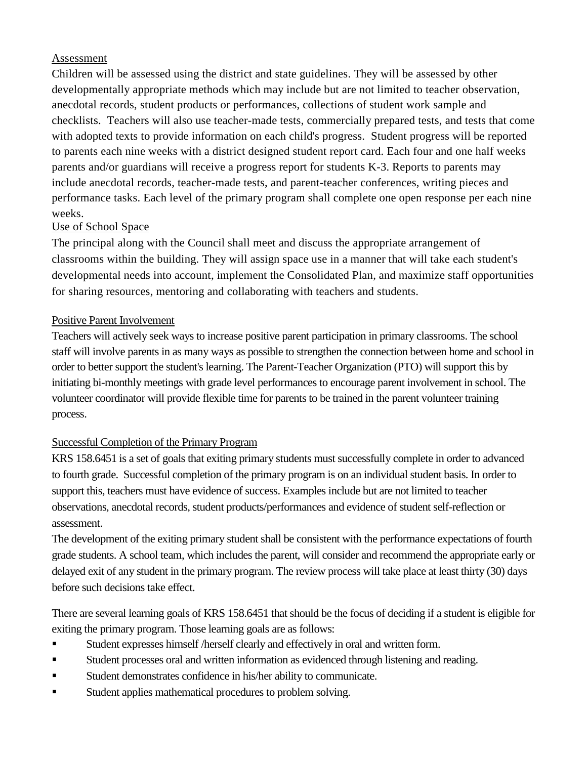### Assessment

Children will be assessed using the district and state guidelines. They will be assessed by other developmentally appropriate methods which may include but are not limited to teacher observation, anecdotal records, student products or performances, collections of student work sample and checklists. Teachers will also use teacher-made tests, commercially prepared tests, and tests that come with adopted texts to provide information on each child's progress. Student progress will be reported to parents each nine weeks with a district designed student report card. Each four and one half weeks parents and/or guardians will receive a progress report for students K-3. Reports to parents may include anecdotal records, teacher-made tests, and parent-teacher conferences, writing pieces and performance tasks. Each level of the primary program shall complete one open response per each nine weeks.

### Use of School Space

The principal along with the Council shall meet and discuss the appropriate arrangement of classrooms within the building. They will assign space use in a manner that will take each student's developmental needs into account, implement the Consolidated Plan, and maximize staff opportunities for sharing resources, mentoring and collaborating with teachers and students.

### Positive Parent Involvement

Teachers will actively seek ways to increase positive parent participation in primary classrooms. The school staff will involve parents in as many ways as possible to strengthen the connection between home and school in order to better support the student's learning. The Parent-Teacher Organization (PTO) will support this by initiating bi-monthly meetings with grade level performances to encourage parent involvement in school. The volunteer coordinator will provide flexible time for parents to be trained in the parent volunteer training process.

### Successful Completion of the Primary Program

KRS 158.6451 is a set of goals that exiting primary students must successfully complete in order to advanced to fourth grade. Successful completion of the primary program is on an individual student basis. In order to support this, teachers must have evidence of success. Examples include but are not limited to teacher observations, anecdotal records, student products/performances and evidence of student self-reflection or assessment.

The development of the exiting primary student shall be consistent with the performance expectations of fourth grade students. A school team, which includes the parent, will consider and recommend the appropriate early or delayed exit of any student in the primary program. The review process will take place at least thirty (30) days before such decisions take effect.

There are several learning goals of KRS 158.6451 that should be the focus of deciding if a student is eligible for exiting the primary program. Those learning goals are as follows:

- Student expresses himself /herself clearly and effectively in oral and written form.
- Student processes oral and written information as evidenced through listening and reading.
- Student demonstrates confidence in his/her ability to communicate.
- Student applies mathematical procedures to problem solving.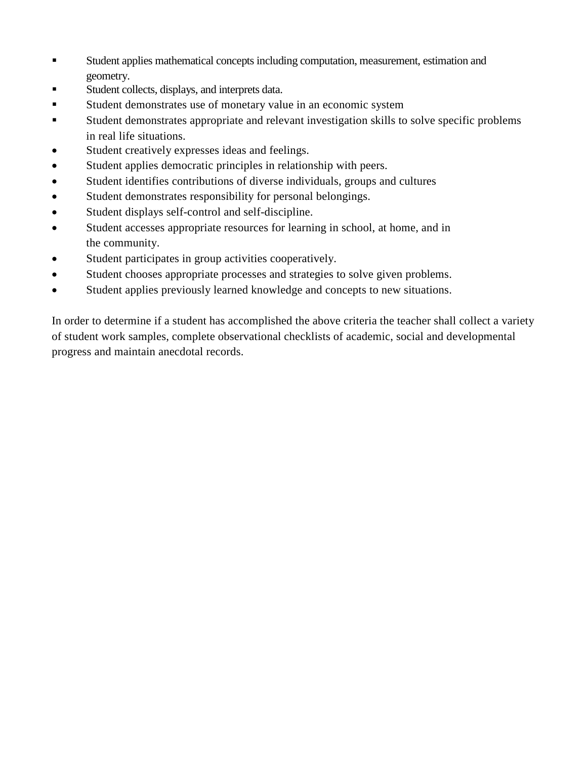- Student applies mathematical concepts including computation, measurement, estimation and geometry.
- Student collects, displays, and interprets data.
- Student demonstrates use of monetary value in an economic system
- Student demonstrates appropriate and relevant investigation skills to solve specific problems in real life situations.
- Student creatively expresses ideas and feelings.
- Student applies democratic principles in relationship with peers.
- Student identifies contributions of diverse individuals, groups and cultures
- Student demonstrates responsibility for personal belongings.
- Student displays self-control and self-discipline.
- Student accesses appropriate resources for learning in school, at home, and in the community.
- Student participates in group activities cooperatively.
- Student chooses appropriate processes and strategies to solve given problems.
- Student applies previously learned knowledge and concepts to new situations.

In order to determine if a student has accomplished the above criteria the teacher shall collect a variety of student work samples, complete observational checklists of academic, social and developmental progress and maintain anecdotal records.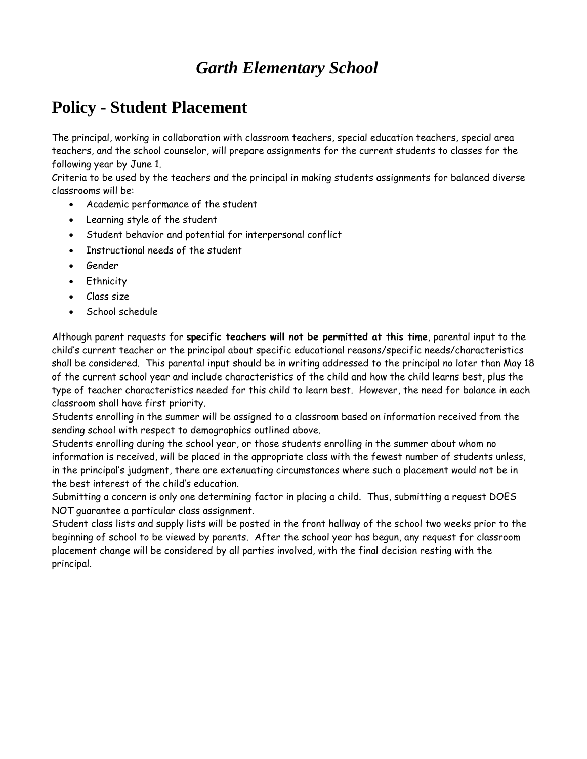## **Policy - Student Placement**

The principal, working in collaboration with classroom teachers, special education teachers, special area teachers, and the school counselor, will prepare assignments for the current students to classes for the following year by June 1.

Criteria to be used by the teachers and the principal in making students assignments for balanced diverse classrooms will be:

- Academic performance of the student
- Learning style of the student
- Student behavior and potential for interpersonal conflict
- Instructional needs of the student
- Gender
- Ethnicity
- Class size
- School schedule

Although parent requests for **specific teachers will not be permitted at this time**, parental input to the child's current teacher or the principal about specific educational reasons/specific needs/characteristics shall be considered. This parental input should be in writing addressed to the principal no later than May 18 of the current school year and include characteristics of the child and how the child learns best, plus the type of teacher characteristics needed for this child to learn best. However, the need for balance in each classroom shall have first priority.

Students enrolling in the summer will be assigned to a classroom based on information received from the sending school with respect to demographics outlined above.

Students enrolling during the school year, or those students enrolling in the summer about whom no information is received, will be placed in the appropriate class with the fewest number of students unless, in the principal's judgment, there are extenuating circumstances where such a placement would not be in the best interest of the child's education.

Submitting a concern is only one determining factor in placing a child. Thus, submitting a request DOES NOT guarantee a particular class assignment.

Student class lists and supply lists will be posted in the front hallway of the school two weeks prior to the beginning of school to be viewed by parents. After the school year has begun, any request for classroom placement change will be considered by all parties involved, with the final decision resting with the principal.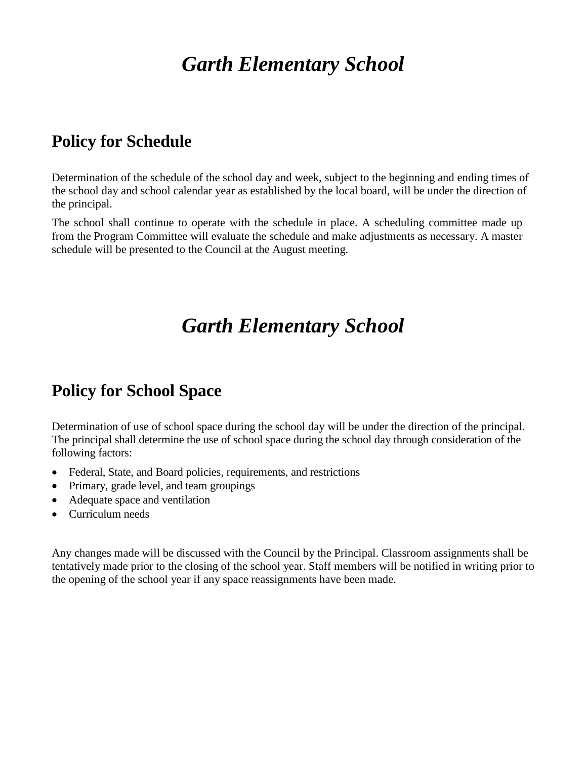## **Policy for Schedule**

Determination of the schedule of the school day and week, subject to the beginning and ending times of the school day and school calendar year as established by the local board, will be under the direction of the principal.

The school shall continue to operate with the schedule in place. A scheduling committee made up from the Program Committee will evaluate the schedule and make adjustments as necessary. A master schedule will be presented to the Council at the August meeting.

# *Garth Elementary School*

## **Policy for School Space**

Determination of use of school space during the school day will be under the direction of the principal. The principal shall determine the use of school space during the school day through consideration of the following factors:

- Federal, State, and Board policies, requirements, and restrictions
- Primary, grade level, and team groupings
- Adequate space and ventilation
- Curriculum needs

Any changes made will be discussed with the Council by the Principal. Classroom assignments shall be tentatively made prior to the closing of the school year. Staff members will be notified in writing prior to the opening of the school year if any space reassignments have been made.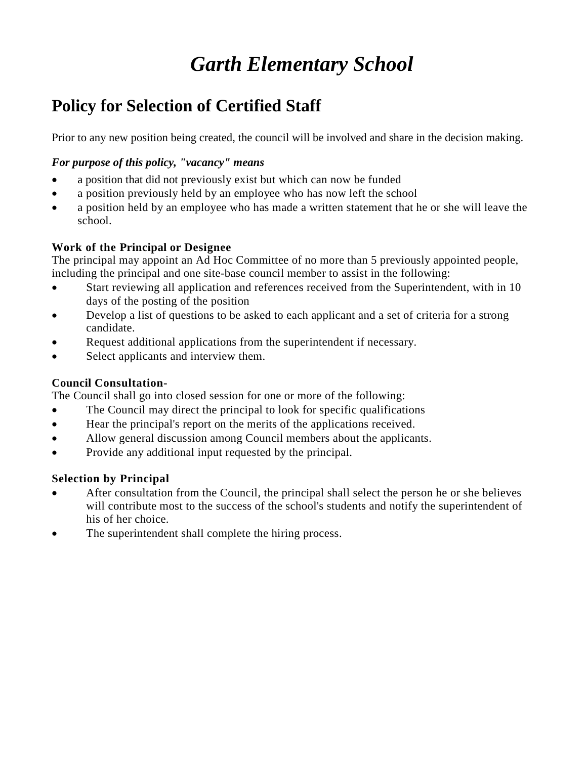## **Policy for Selection of Certified Staff**

Prior to any new position being created, the council will be involved and share in the decision making.

### *For purpose of this policy, "vacancy" means*

- a position that did not previously exist but which can now be funded
- a position previously held by an employee who has now left the school
- a position held by an employee who has made a written statement that he or she will leave the school.

### **Work of the Principal or Designee**

The principal may appoint an Ad Hoc Committee of no more than 5 previously appointed people, including the principal and one site-base council member to assist in the following:

- Start reviewing all application and references received from the Superintendent, with in 10 days of the posting of the position
- Develop a list of questions to be asked to each applicant and a set of criteria for a strong candidate.
- Request additional applications from the superintendent if necessary.
- Select applicants and interview them.

### **Council Consultation-**

The Council shall go into closed session for one or more of the following:

- The Council may direct the principal to look for specific qualifications
- Hear the principal's report on the merits of the applications received.
- Allow general discussion among Council members about the applicants.
- Provide any additional input requested by the principal.

### **Selection by Principal**

- After consultation from the Council, the principal shall select the person he or she believes will contribute most to the success of the school's students and notify the superintendent of his of her choice.
- The superintendent shall complete the hiring process.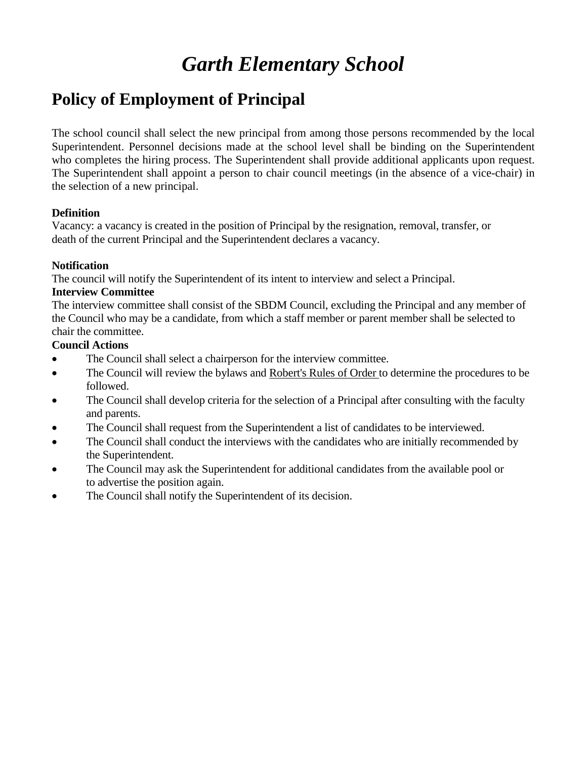## **Policy of Employment of Principal**

The school council shall select the new principal from among those persons recommended by the local Superintendent. Personnel decisions made at the school level shall be binding on the Superintendent who completes the hiring process. The Superintendent shall provide additional applicants upon request. The Superintendent shall appoint a person to chair council meetings (in the absence of a vice-chair) in the selection of a new principal.

### **Definition**

Vacancy: a vacancy is created in the position of Principal by the resignation, removal, transfer, or death of the current Principal and the Superintendent declares a vacancy.

### **Notification**

The council will notify the Superintendent of its intent to interview and select a Principal.

### **Interview Committee**

The interview committee shall consist of the SBDM Council, excluding the Principal and any member of the Council who may be a candidate, from which a staff member or parent member shall be selected to chair the committee.

### **Council Actions**

- The Council shall select a chairperson for the interview committee.
- The Council will review the bylaws and Robert's Rules of Order to determine the procedures to be followed.
- The Council shall develop criteria for the selection of a Principal after consulting with the faculty and parents.
- The Council shall request from the Superintendent a list of candidates to be interviewed.
- The Council shall conduct the interviews with the candidates who are initially recommended by the Superintendent.
- The Council may ask the Superintendent for additional candidates from the available pool or to advertise the position again.
- The Council shall notify the Superintendent of its decision.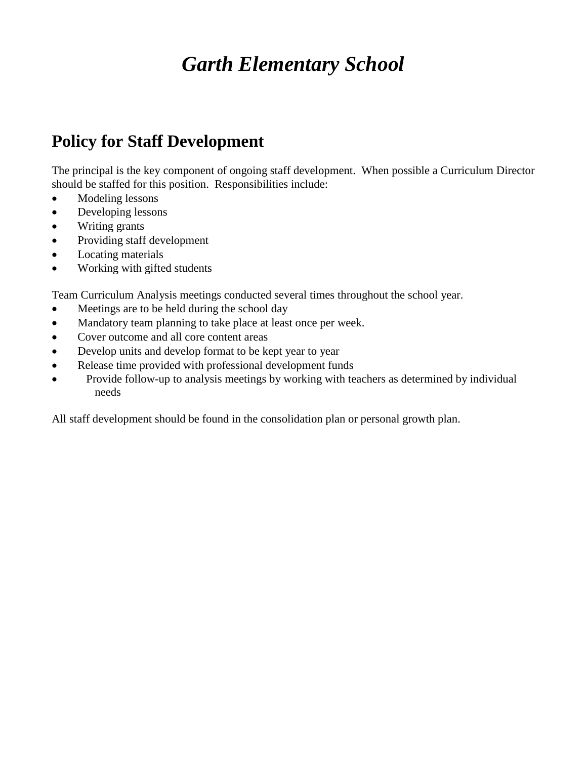## **Policy for Staff Development**

The principal is the key component of ongoing staff development. When possible a Curriculum Director should be staffed for this position. Responsibilities include:

- Modeling lessons
- Developing lessons
- Writing grants
- Providing staff development
- Locating materials
- Working with gifted students

Team Curriculum Analysis meetings conducted several times throughout the school year.

- Meetings are to be held during the school day
- Mandatory team planning to take place at least once per week.
- Cover outcome and all core content areas
- Develop units and develop format to be kept year to year
- Release time provided with professional development funds
- Provide follow-up to analysis meetings by working with teachers as determined by individual needs

All staff development should be found in the consolidation plan or personal growth plan.